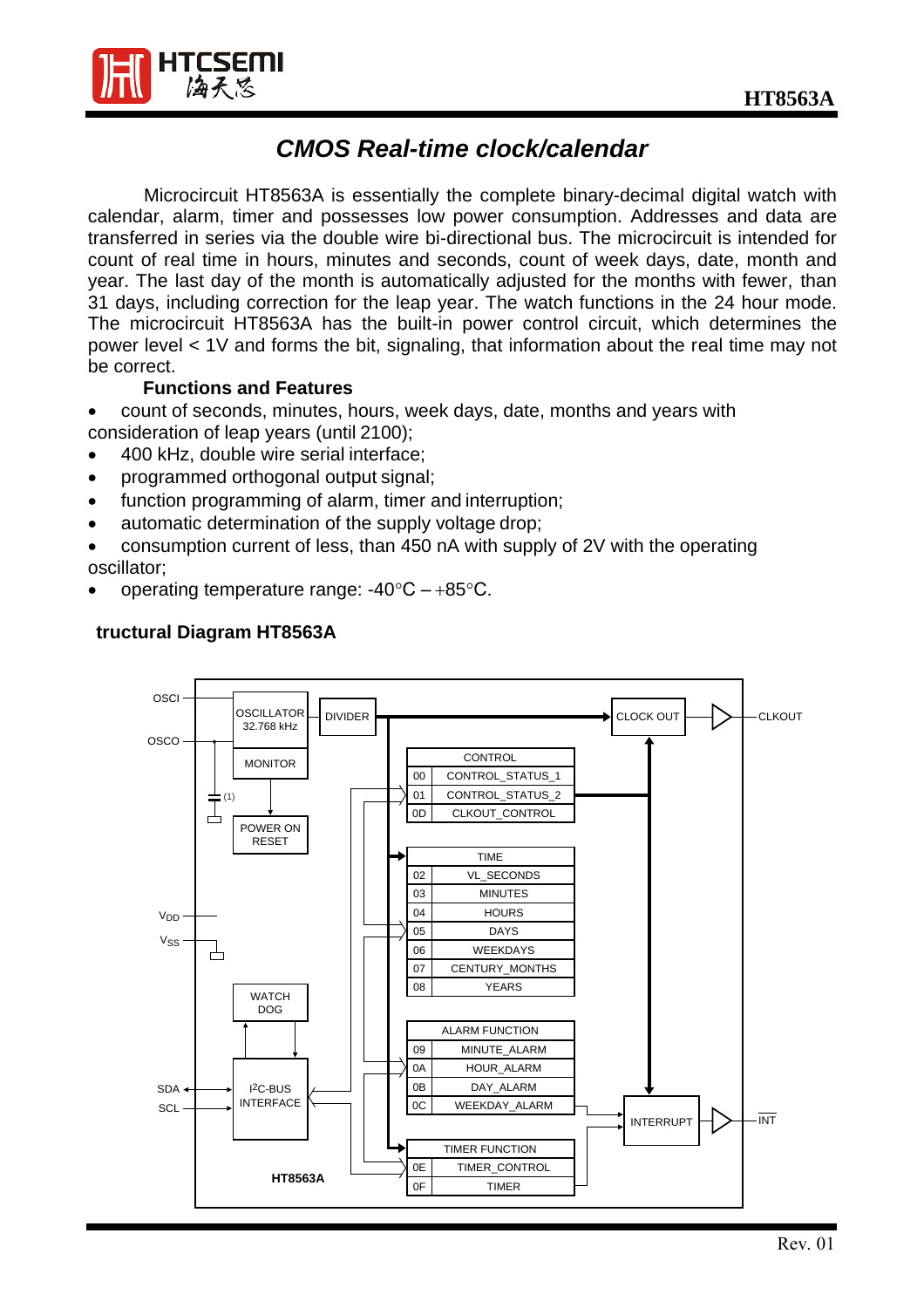

# *CMOS Real-time clock/calendar*

Microcircuit HT8563A is essentially the complete binary-decimal digital watch with calendar, alarm, timer and possesses low power consumption. Addresses and data are transferred in series via the double wire bi-directional bus. The microcircuit is intended for count of real time in hours, minutes and seconds, count of week days, date, month and year. The last day of the month is automatically adjusted for the months with fewer, than 31 days, including correction for the leap year. The watch functions in the 24 hour mode. The microcircuit HT8563A has the built-in power control circuit, which determines the power level < 1V and forms the bit, signaling, that information about the real time may not be correct.

## **Functions and Features**

- count of seconds, minutes, hours, week days, date, months and years with consideration of leap years (until 2100);
- 400 kHz, double wire serial interface;
- programmed orthogonal output signal;
- function programming of alarm, timer and interruption;
- automatic determination of the supply voltage drop;
- consumption current of less, than 450 nA with supply of 2V with the operating oscillator;
- operating temperature range:  $-40^{\circ}C +85^{\circ}C$ .



# **tructural Diagram HT8563A**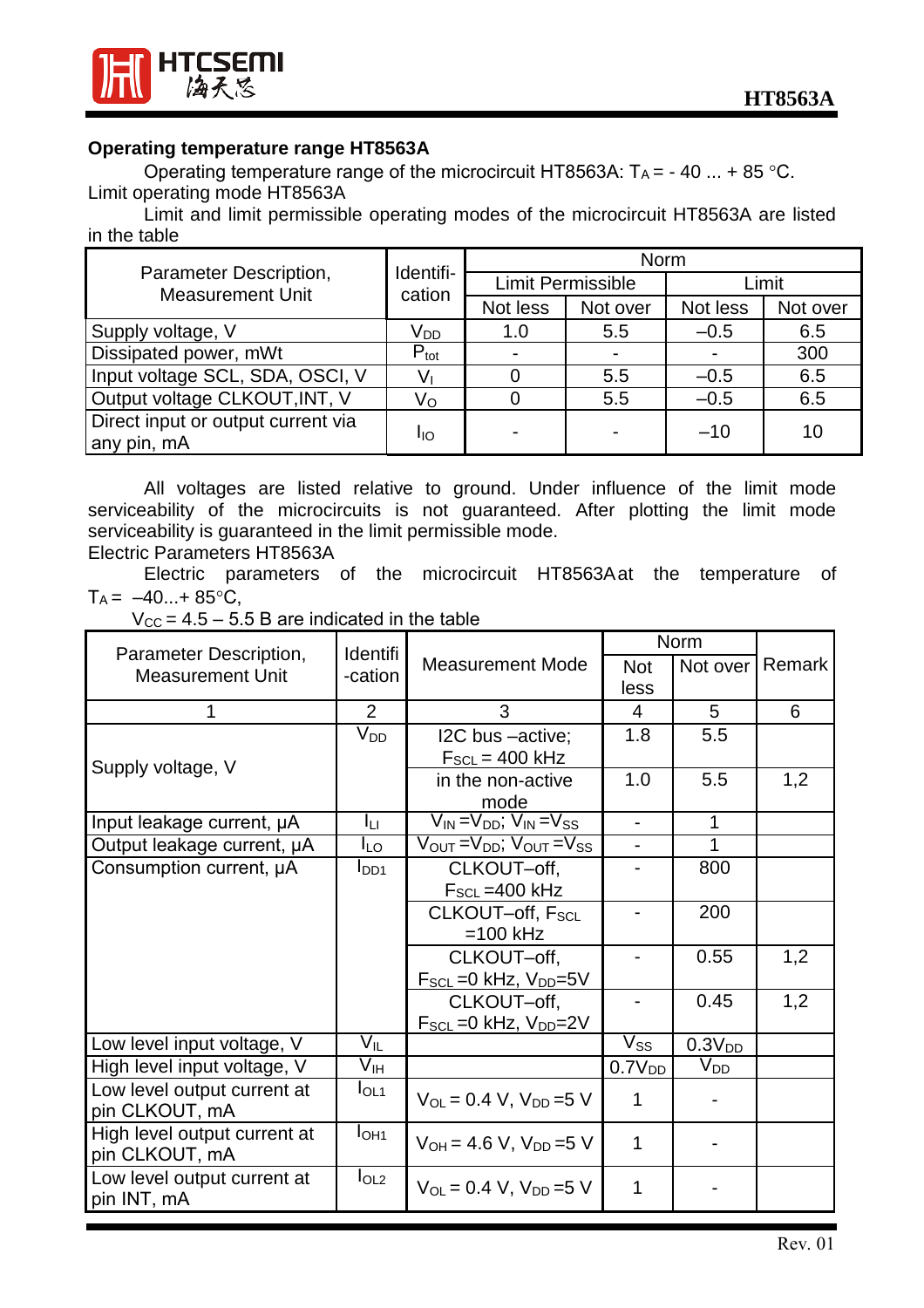



#### **Operating temperature range HT8563A**

Operating temperature range of the microcircuit HT8563A:  $T_A = -40$  ... + 85 °C. Limit operating mode HT8563A

Limit and limit permissible operating modes of the microcircuit HT8563A are listed in the table

|                                                   |                     | Norm                     |                          |                |          |  |
|---------------------------------------------------|---------------------|--------------------------|--------------------------|----------------|----------|--|
| Parameter Description,<br><b>Measurement Unit</b> | Identifi-<br>cation |                          | <b>Limit Permissible</b> | Limit          |          |  |
|                                                   |                     | Not less                 | Not over                 | Not less       | Not over |  |
| Supply voltage, V                                 | V <sub>DD</sub>     | 1.0                      | 5.5                      | $-0.5$         | 6.5      |  |
| Dissipated power, mWt                             | $P_{\text{tot}}$    |                          |                          | $\blacksquare$ | 300      |  |
| Input voltage SCL, SDA, OSCI, V                   | $V_{1}$             |                          | 5.5                      | $-0.5$         | 6.5      |  |
| Output voltage CLKOUT, INT, V                     | Vo                  |                          | 5.5                      | $-0.5$         | 6.5      |  |
| Direct input or output current via<br>any pin, mA | Iю                  | $\overline{\phantom{0}}$ |                          | $-10$          | 10       |  |

All voltages are listed relative to ground. Under influence of the limit mode serviceability of the microcircuits is not guaranteed. After plotting the limit mode serviceability is guaranteed in the limit permissible mode.

# Electric Parameters HT8563A

Electric parameters of the microcircuit HT8563Aat the temperature of  $T_A = -40...+85$ °C,

|  | $V_{\text{CC}}$ = 4.5 – 5.5 B are indicated in the table |
|--|----------------------------------------------------------|
|--|----------------------------------------------------------|

| Parameter Description,       |                                       | Identifi                                                            |                          | <b>Norm</b>        |        |  |
|------------------------------|---------------------------------------|---------------------------------------------------------------------|--------------------------|--------------------|--------|--|
| <b>Measurement Unit</b>      | -cation                               | <b>Measurement Mode</b>                                             | Not                      | Not over           | Remark |  |
|                              |                                       |                                                                     | less                     |                    |        |  |
| 1                            | $\overline{2}$                        | 3                                                                   | $\overline{4}$           | 5                  | 6      |  |
|                              | $V_{DD}$                              | I2C bus -active;                                                    | 1.8                      | 5.5                |        |  |
| Supply voltage, V            |                                       | $F_{SCL} = 400$ kHz                                                 |                          |                    |        |  |
|                              |                                       | in the non-active                                                   | 1.0                      | 5.5                | 1,2    |  |
|                              |                                       | mode                                                                |                          |                    |        |  |
| Input leakage current, µA    | Iц                                    | $\overline{V_{IN}} = V_{DD}$ ; $\overline{V_{IN}} = V_{SS}$         | $\overline{\phantom{0}}$ | 1                  |        |  |
| Output leakage current, µA   | $I_{LO}$                              | $V_{\text{OUT}} = V_{\text{DD}}$ ; $V_{\text{OUT}} = V_{\text{SS}}$ |                          | 1                  |        |  |
| Consumption current, µA      | $I_{DD1}$                             | CLKOUT-off,                                                         |                          | 800                |        |  |
|                              |                                       | $F_{SCL}$ = 400 kHz                                                 |                          |                    |        |  |
|                              |                                       | CLKOUT-off, F <sub>SCL</sub>                                        |                          | 200                |        |  |
|                              |                                       | $=100$ kHz                                                          |                          |                    |        |  |
|                              |                                       | CLKOUT-off,                                                         |                          | 0.55               | 1,2    |  |
|                              |                                       | $F_{SCL} = 0$ kHz, $V_{DD} = 5V$                                    |                          |                    |        |  |
|                              |                                       | CLKOUT-off,                                                         |                          | 0.45               | 1,2    |  |
|                              |                                       | $F_{SCL} = 0$ kHz, $V_{DD} = 2V$                                    |                          |                    |        |  |
| Low level input voltage, V   | $\overline{\mathsf{V}}_{\mathsf{IL}}$ |                                                                     | V <sub>SS</sub>          | 0.3V <sub>DD</sub> |        |  |
| High level input voltage, V  | V <sub>IH</sub>                       |                                                                     | 0.7V <sub>DD</sub>       | $V_{DD}$           |        |  |
| Low level output current at  | I <sub>OL1</sub>                      | $V_{OL} = 0.4 V$ , $V_{DD} = 5 V$                                   | 1                        |                    |        |  |
| pin CLKOUT, mA               |                                       |                                                                     |                          |                    |        |  |
| High level output current at | I <sub>OH1</sub>                      | $V_{OH} = 4.6 V$ , $V_{DD} = 5 V$                                   | $\mathbf{1}$             |                    |        |  |
| pin CLKOUT, mA               |                                       |                                                                     |                          |                    |        |  |
| Low level output current at  | I <sub>OL2</sub>                      | $V_{OL} = 0.4 V$ , $V_{DD} = 5 V$                                   | $\mathbf{1}$             |                    |        |  |
| pin INT, mA                  |                                       |                                                                     |                          |                    |        |  |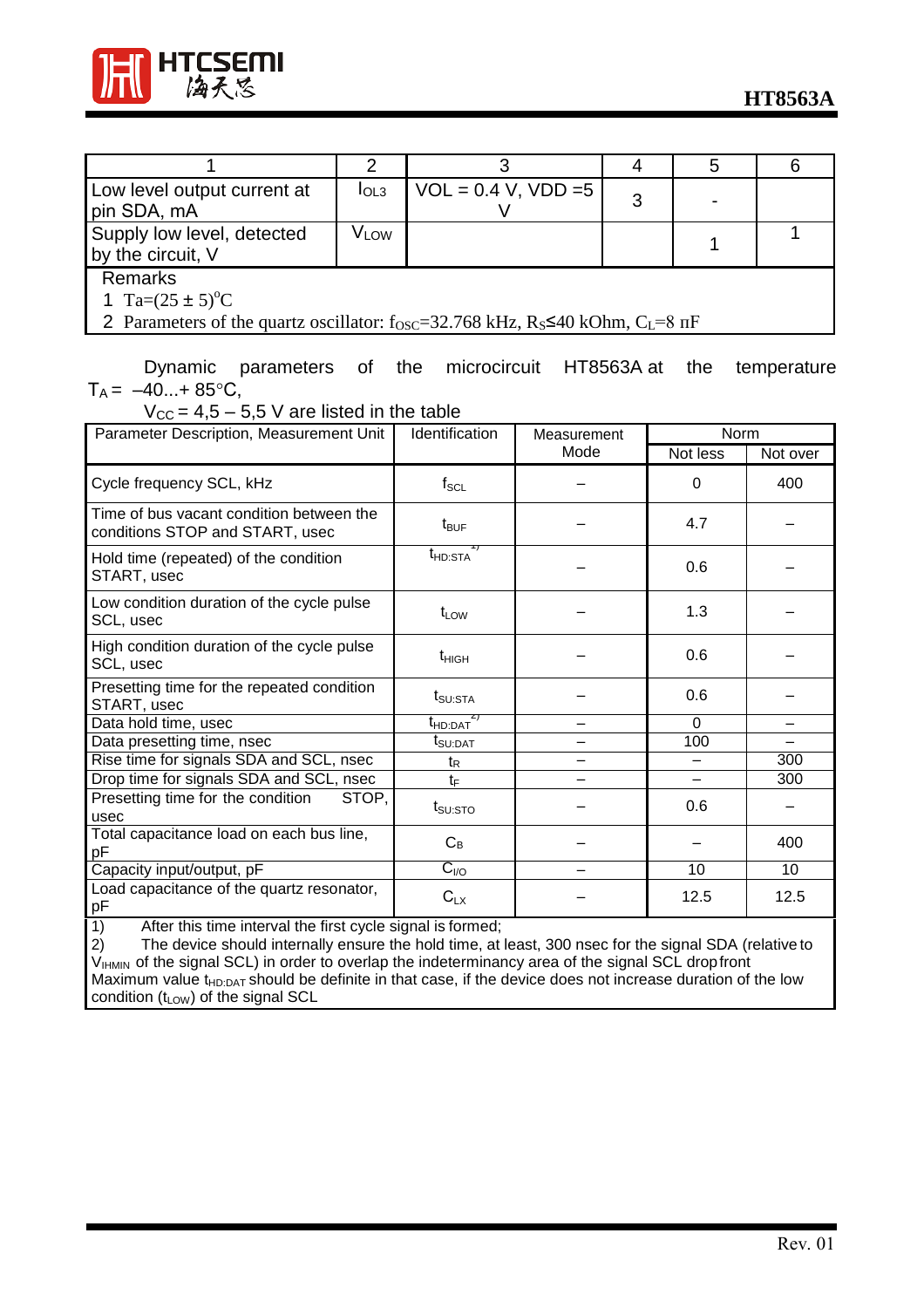



| Low level output current at<br>pin SDA, mA                                                                                                                                        | I <sub>OL3</sub> | $VOL = 0.4 V, VDD = 5$ | 3 |  |  |
|-----------------------------------------------------------------------------------------------------------------------------------------------------------------------------------|------------------|------------------------|---|--|--|
| Supply low level, detected<br>by the circuit, V                                                                                                                                   | V <sub>LOW</sub> |                        |   |  |  |
| <b>Remarks</b><br>1 Ta= $(25 \pm 5)^{\circ}$ C<br>2 Parameters of the quartz oscillator: $f_{\text{OSC}} = 32.768 \text{ kHz}$ , $R_s \le 40 \text{ kOhm}$ , $C_t = 8 \text{ nF}$ |                  |                        |   |  |  |

Dynamic parameters of the microcircuit HT8563A at the temperature  $T_A = -40...+85$ °C,

| $V_{\text{CC}} = 4.5 - 5.5$ V are listed in the table                                                                                                 |                                 |             |          |          |
|-------------------------------------------------------------------------------------------------------------------------------------------------------|---------------------------------|-------------|----------|----------|
| Parameter Description, Measurement Unit                                                                                                               | Identification                  | Measurement | Norm     |          |
|                                                                                                                                                       |                                 | Mode        | Not less | Not over |
| Cycle frequency SCL, kHz                                                                                                                              | $f_{\rm SCL}$                   |             | $\Omega$ | 400      |
| Time of bus vacant condition between the<br>conditions STOP and START, usec                                                                           | $t_{\text{BUF}}$                |             | 4.7      |          |
| Hold time (repeated) of the condition<br>START, usec                                                                                                  | t <sub>HD:STA</sub>             |             | 0.6      |          |
| Low condition duration of the cycle pulse<br>SCL, usec                                                                                                | $t_{LOW}$                       |             | 1.3      |          |
| High condition duration of the cycle pulse<br>SCL, usec                                                                                               | $t_{HIGH}$                      |             | 0.6      |          |
| Presetting time for the repeated condition<br>START, usec                                                                                             | $t_{\text{SU:STA}}$             |             | 0.6      |          |
| Data hold time, usec                                                                                                                                  | $t_{HD:DAT}$                    |             | $\Omega$ |          |
| Data presetting time, nsec                                                                                                                            | $t_{\scriptstyle\text{SU:DAT}}$ |             | 100      |          |
| Rise time for signals SDA and SCL, nsec                                                                                                               | t <sub>R</sub>                  |             |          | 300      |
| Drop time for signals SDA and SCL, nsec                                                                                                               | $t_{\text{F}}$                  |             |          | 300      |
| Presetting time for the condition<br>STOP.<br>usec                                                                                                    | $t_{\text{SU:STO}}$             |             | 0.6      |          |
| Total capacitance load on each bus line,<br>рF                                                                                                        | $C_B$                           |             |          | 400      |
| Capacity input/output, pF                                                                                                                             | $C_{VQ}$                        |             | 10       | 10       |
| Load capacitance of the quartz resonator,<br>рF<br>$\sqrt{1}$<br>and the all Countries<br>$A$ find a distance of $A$<br>$\sim$ 1.4 A $\sim$<br>د سالہ | $C_{LX}$<br>$1.3 - 0.4$         |             | 12.5     | 12.5     |

1) After this time interval the first cycle signal is formed;<br>2) The device should internally ensure the hold time, at l

2) The device should internally ensure the hold time, at least, 300 nsec for the signal SDA (relative to  $V_{\text{IHMIN}}$  of the signal SCL) in order to overlap the indeterminancy area of the signal SCL dropfront Maximum value  $t_{HD:DATA}$  should be definite in that case, if the device does not increase duration of the low condition  $(t_{LOW})$  of the signal SCL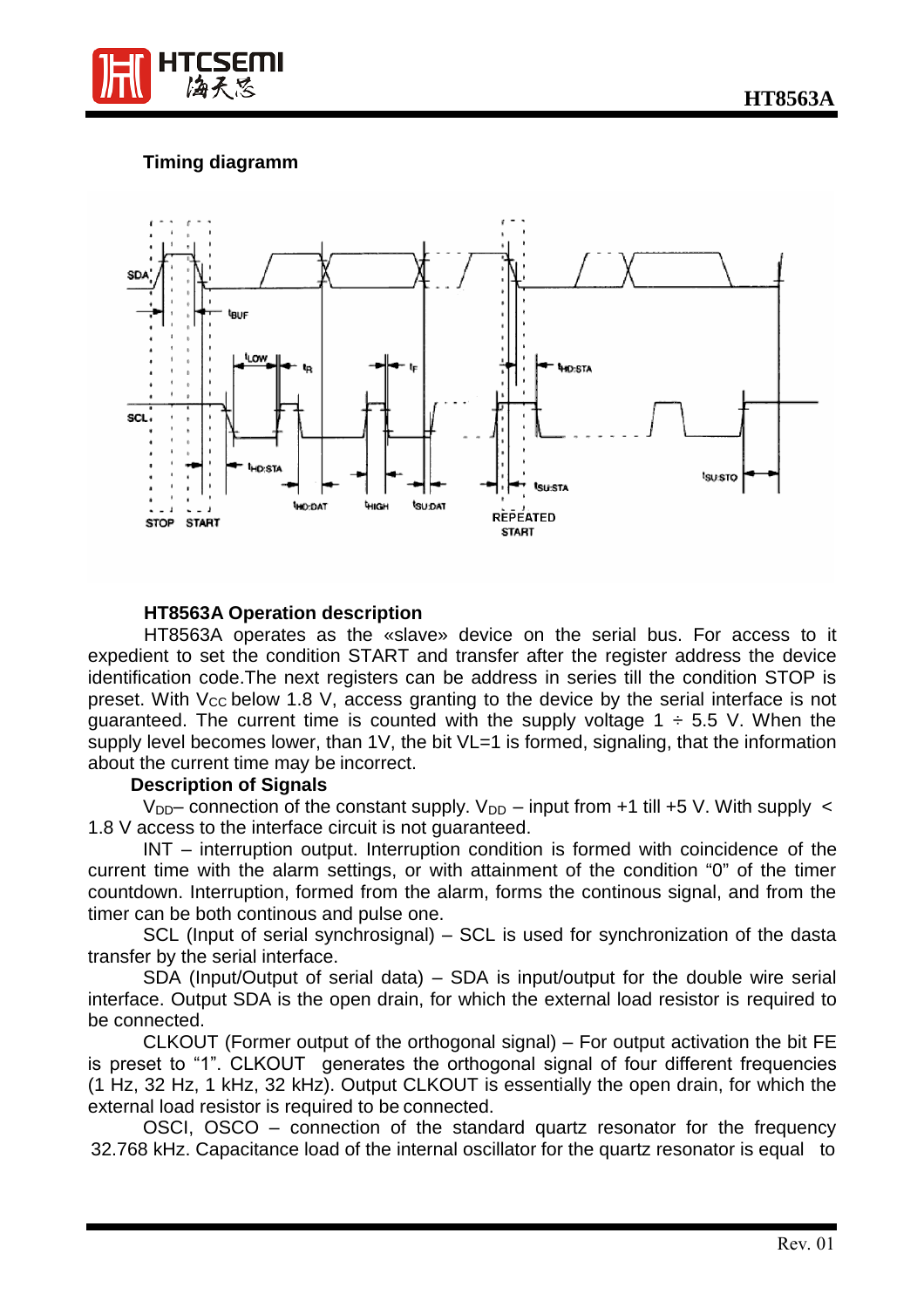

# **Timing diagramm**



#### **HT8563A Operation description**

HT8563A operates as the «slave» device on the serial bus. For access to it expedient to set the condition START and transfer after the register address the device identification code.The next registers can be address in series till the condition STOP is preset. With  $V_{CC}$  below 1.8 V, access granting to the device by the serial interface is not guaranteed. The current time is counted with the supply voltage  $1 \div 5.5$  V. When the supply level becomes lower, than 1V, the bit VL=1 is formed, signaling, that the information about the current time may be incorrect.

#### **Description of Signals**

 $V_{DD}$ – connection of the constant supply.  $V_{DD}$  – input from +1 till +5 V. With supply  $\lt$ 1.8 V access to the interface circuit is not guaranteed.

INT – interruption output. Interruption condition is formed with coincidence of the current time with the alarm settings, or with attainment of the condition "0" of the timer countdown. Interruption, formed from the alarm, forms the continous signal, and from the timer can be both continous and pulse one.

SCL (Input of serial synchrosignal) – SCL is used for synchronization of the dasta transfer by the serial interface.

SDA (Input/Output of serial data) – SDA is input/output for the double wire serial interface. Output SDA is the open drain, for which the external load resistor is required to be connected.

CLKOUT (Former output of the orthogonal signal) – For output activation the bit FE is preset to "1". CLKOUT generates the orthogonal signal of four different frequencies (1 Hz, 32 Hz, 1 kHz, 32 kHz). Output CLKOUT is essentially the open drain, for which the external load resistor is required to be connected.

OSCI, OSCO – connection of the standard quartz resonator for the frequency 32.768 kHz. Capacitance load of the internal oscillator for the quartz resonator is equal to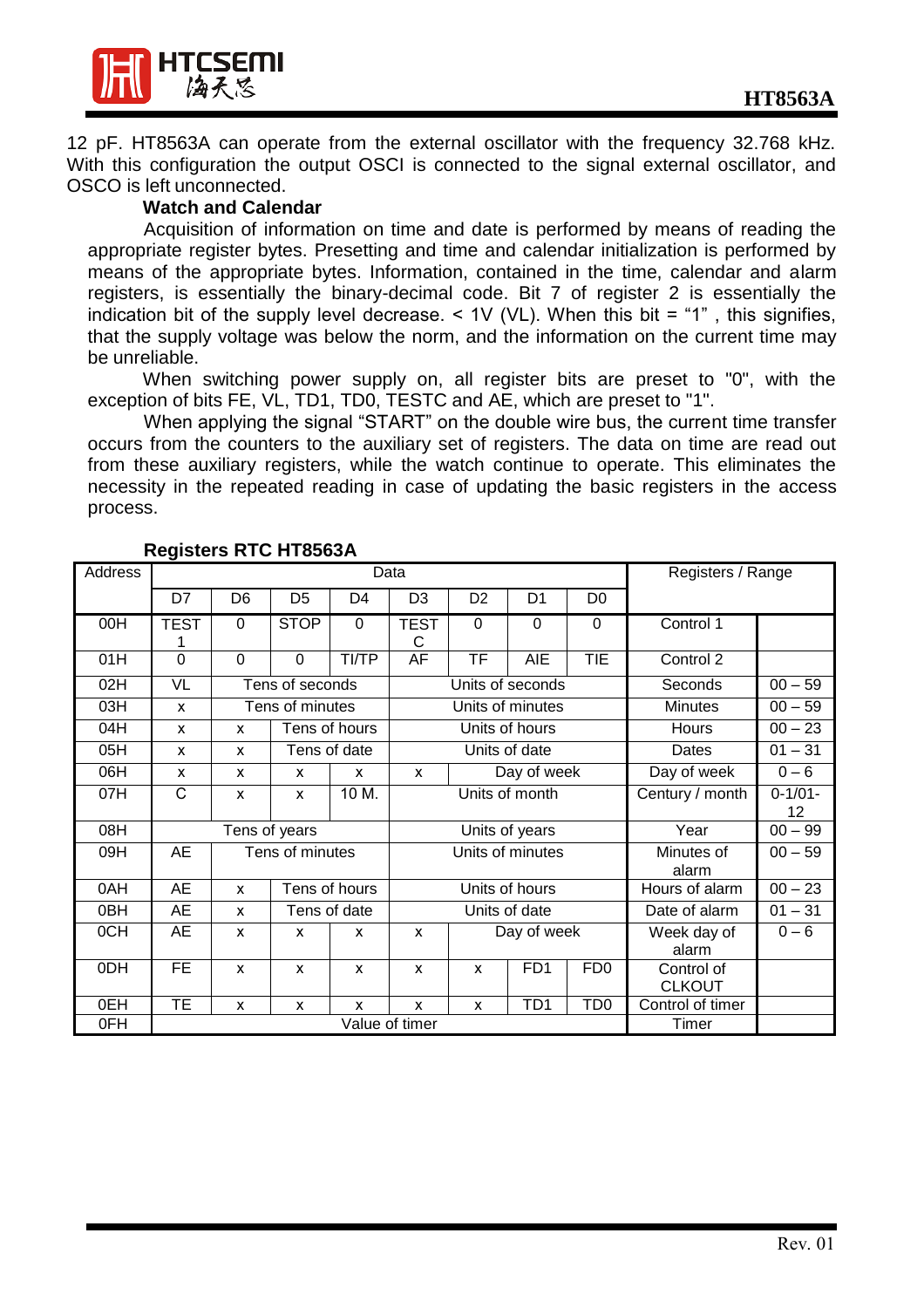

12 pF. HT8563A can operate from the external oscillator with the frequency 32.768 kHz. With this configuration the output OSCI is connected to the signal external oscillator, and OSCO is left unconnected.

#### **Watch and Calendar**

Acquisition of information on time and date is performed by means of reading the appropriate register bytes. Presetting and time and calendar initialization is performed by means of the appropriate bytes. Information, contained in the time, calendar and alarm registers, is essentially the binary-decimal code. Bit 7 of register 2 is essentially the indication bit of the supply level decrease.  $\leq$  1V (VL). When this bit = "1", this signifies, that the supply voltage was below the norm, and the information on the current time may be unreliable.

When switching power supply on, all register bits are preset to "0", with the exception of bits FE, VL, TD1, TD0, TESTC and AE, which are preset to "1".

When applying the signal "START" on the double wire bus, the current time transfer occurs from the counters to the auxiliary set of registers. The data on time are read out from these auxiliary registers, while the watch continue to operate. This eliminates the necessity in the repeated reading in case of updating the basic registers in the access process.

| Address |                 | Data           |                 |                |                             |                          | Registers / Range    |                     |                             |           |
|---------|-----------------|----------------|-----------------|----------------|-----------------------------|--------------------------|----------------------|---------------------|-----------------------------|-----------|
|         | D7              | D <sub>6</sub> | D <sub>5</sub>  | D <sub>4</sub> | D <sub>3</sub>              | D <sub>2</sub>           | D <sub>1</sub>       | D <sub>0</sub>      |                             |           |
| 00H     | <b>TEST</b>     | $\mathbf 0$    | <b>STOP</b>     | 0              | <b>TEST</b><br>C            | $\mathbf 0$              | $\mathbf 0$          | $\Omega$            | Control 1                   |           |
| 01H     | $\mathbf 0$     | $\mathbf 0$    | $\mathbf 0$     | <b>TI/TP</b>   | AF                          | $\overline{\mathsf{TF}}$ | <b>AIE</b>           | TIE                 | Control 2                   |           |
| 02H     | VL              |                | Tens of seconds |                |                             |                          | Units of seconds     |                     | Seconds                     | $00 - 59$ |
| 03H     | X               |                | Tens of minutes |                |                             |                          | Units of minutes     |                     | <b>Minutes</b>              | $00 - 59$ |
| 04H     | X               | X              |                 | Tens of hours  |                             |                          | Units of hours       |                     | Hours                       | $00 - 23$ |
| 05H     | X               | X              |                 | Tens of date   | Units of date               |                          |                      | Dates               | $01 - 31$                   |           |
| O6H     | X               | X              | X               | X              | Day of week<br>$\mathsf{x}$ |                          | Day of week          | $0 - 6$             |                             |           |
| 07H     | $\mathsf{C}$    | X              | X               | 10 M.          | Units of month              |                          |                      | Century / month     | $0 - 1/01 -$<br>12          |           |
| 08H     |                 |                | Tens of years   |                | Units of years              |                          |                      | Year                | $00 - 99$                   |           |
| 09H     | AE              |                | Tens of minutes |                | Units of minutes            |                          |                      | Minutes of<br>alarm | $00 - 59$                   |           |
| 0AH     | <b>AE</b>       | X              |                 | Tens of hours  |                             |                          | Units of hours       |                     | Hours of alarm              | $00 - 23$ |
| 0BH     | <b>AE</b>       | X              |                 | Tens of date   | Units of date               |                          |                      | Date of alarm       | $01 - 31$                   |           |
| 0CH     | AE              | X              | X               | X              | Day of week<br>$\mathsf{x}$ |                          | Week day of<br>alarm | $0 - 6$             |                             |           |
| 0DH     | $\overline{FE}$ | X              | X               | X              | X                           | X                        | FD1                  | FD0                 | Control of<br><b>CLKOUT</b> |           |
| 0EH     | <b>TE</b>       | X              | X               | X              | X                           | X                        | TD <sub>1</sub>      | TD <sub>0</sub>     | Control of timer            |           |
| 0FH     | Value of timer  |                |                 |                |                             |                          | Timer                |                     |                             |           |

**Registers RTC HT8563A**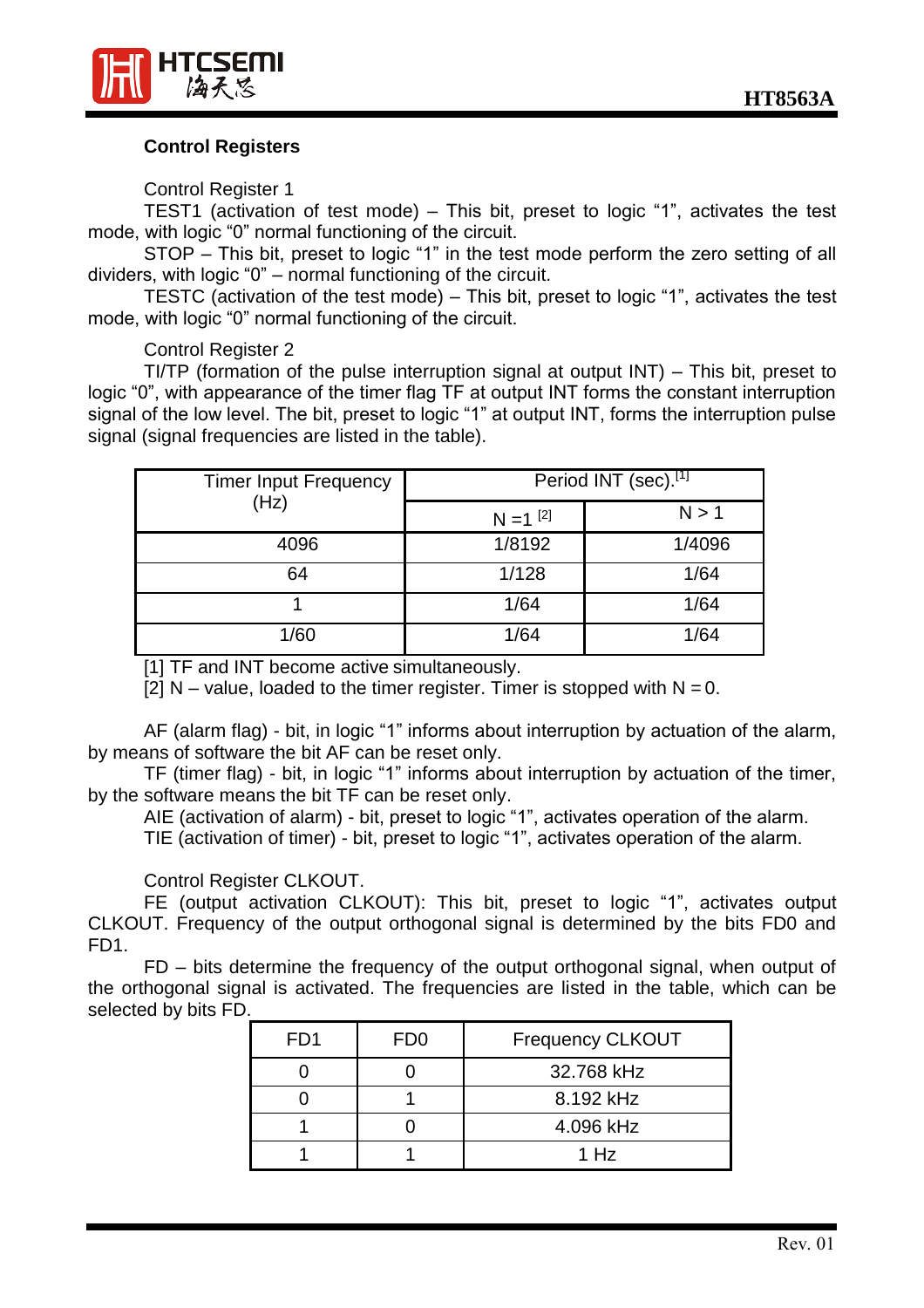

# **Control Registers**

Control Register 1

TEST1 (activation of test mode) – This bit, preset to logic "1", activates the test mode, with logic "0" normal functioning of the circuit.

STOP – This bit, preset to logic "1" in the test mode perform the zero setting of all dividers, with logic "0" – normal functioning of the circuit.

TESTC (activation of the test mode) – This bit, preset to logic "1", activates the test mode, with logic "0" normal functioning of the circuit.

Control Register 2

TI/TP (formation of the pulse interruption signal at output INT) – This bit, preset to logic "0", with appearance of the timer flag TF at output INT forms the constant interruption signal of the low level. The bit, preset to logic "1" at output INT, forms the interruption pulse signal (signal frequencies are listed in the table).

| <b>Timer Input Frequency</b><br>(Hz) | Period INT (sec).[1]   |        |  |
|--------------------------------------|------------------------|--------|--|
|                                      | $N = 1$ <sup>[2]</sup> | N > 1  |  |
| 4096                                 | 1/8192                 | 1/4096 |  |
| 64                                   | 1/128                  | 1/64   |  |
|                                      | 1/64                   | 1/64   |  |
| 1/60                                 | 1/64                   | 1/64   |  |

[1] TF and INT become active simultaneously.

[2]  $N -$  value, loaded to the timer register. Timer is stopped with  $N = 0$ .

AF (alarm flag) - bit, in logic "1" informs about interruption by actuation of the alarm, by means of software the bit AF can be reset only.

TF (timer flag) - bit, in logic "1" informs about interruption by actuation of the timer, by the software means the bit TF can be reset only.

AIE (activation of alarm) - bit, preset to logic "1", activates operation of the alarm.

TIE (activation of timer) - bit, preset to logic "1", activates operation of the alarm.

Control Register CLKOUT.

FE (output activation CLKOUT): This bit, preset to logic "1", activates output CLKOUT. Frequency of the output orthogonal signal is determined by the bits FD0 and FD1.

FD – bits determine the frequency of the output orthogonal signal, when output of the orthogonal signal is activated. The frequencies are listed in the table, which can be selected by bits FD.

| FD1 | FD <sub>0</sub> | <b>Frequency CLKOUT</b> |
|-----|-----------------|-------------------------|
|     |                 | 32.768 kHz              |
|     |                 | 8.192 kHz               |
|     |                 | 4.096 kHz               |
|     |                 | 1 Hz                    |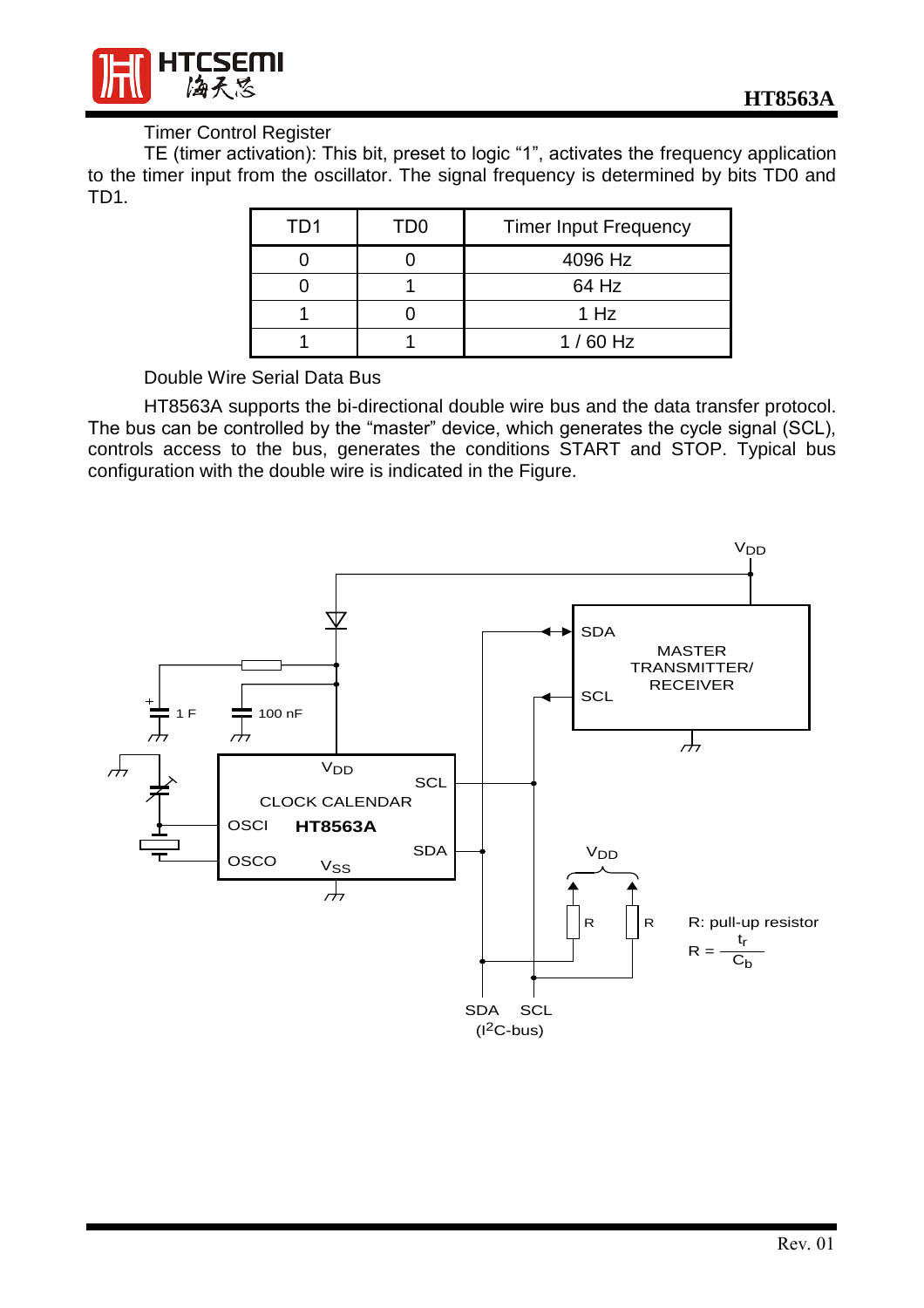

# Timer Control Register

TE (timer activation): This bit, preset to logic "1", activates the frequency application to the timer input from the oscillator. The signal frequency is determined by bits TD0 and TD1.

| TD1 | TD0 | <b>Timer Input Frequency</b> |
|-----|-----|------------------------------|
|     |     | 4096 Hz                      |
|     |     | 64 Hz                        |
|     |     | 1 Hz                         |
|     |     | $1/60$ Hz                    |

Double Wire Serial Data Bus

HT8563A supports the bi-directional double wire bus and the data transfer protocol. The bus can be controlled by the "master" device, which generates the cycle signal (SCL), controls access to the bus, generates the conditions START and STOP. Typical bus configuration with the double wire is indicated in the Figure.

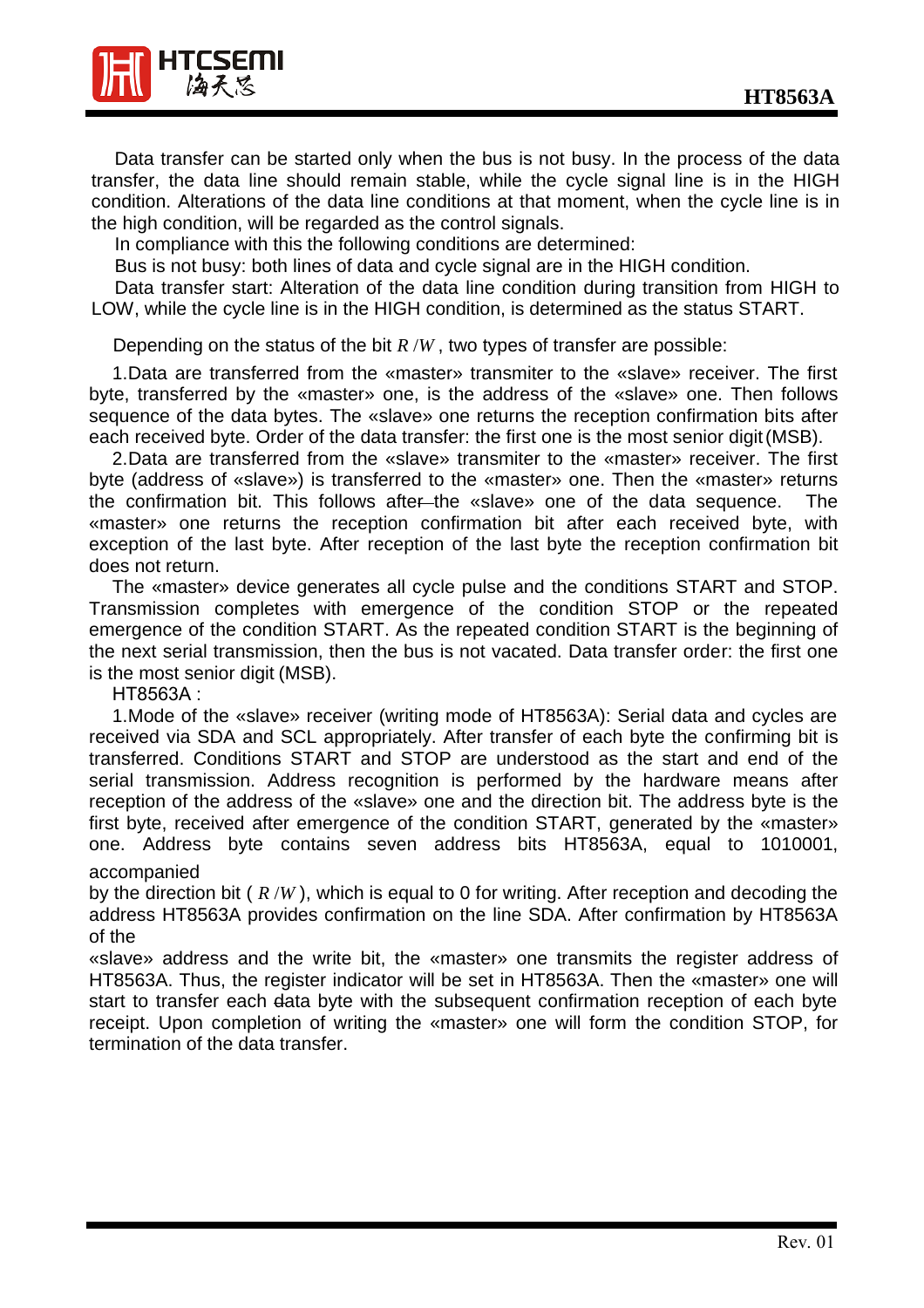

Data transfer can be started only when the bus is not busy. In the process of the data transfer, the data line should remain stable, while the cycle signal line is in the HIGH condition. Alterations of the data line conditions at that moment, when the cycle line is in the high condition, will be regarded as the control signals.

In compliance with this the following conditions are determined:

Bus is not busy: both lines of data and cycle signal are in the HIGH condition.

Data transfer start: Alteration of the data line condition during transition from HIGH to LOW, while the cycle line is in the HIGH condition, is determined as the status START.

Depending on the status of the bit *R* /*W* , two types of transfer are possible:

1. Data are transferred from the «master» transmiter to the «slave» receiver. The first byte, transferred by the «master» one, is the address of the «slave» one. Then follows sequence of the data bytes. The «slave» one returns the reception confirmation bits after each received byte. Order of the data transfer: the first one is the most senior digit (MSB).

2. Data are transferred from the «slave» transmiter to the «master» receiver. The first byte (address of «slave») is transferred to the «master» one. Then the «master» returns the confirmation bit. This follows after the «slave» one of the data sequence. The «master» one returns the reception confirmation bit after each received byte, with exception of the last byte. After reception of the last byte the reception confirmation bit does not return.

The «master» device generates all cycle pulse and the conditions START and STOP. Transmission completes with emergence of the condition STOP or the repeated emergence of the condition START. As the repeated condition START is the beginning of the next serial transmission, then the bus is not vacated. Data transfer order: the first one is the most senior digit (MSB).

HT8563A :

1. Mode of the «slave» receiver (writing mode of HT8563A): Serial data and cycles are received via SDA and SCL appropriately. After transfer of each byte the confirming bit is transferred. Conditions START and STOP are understood as the start and end of the serial transmission. Address recognition is performed by the hardware means after reception of the address of the «slave» one and the direction bit. The address byte is the first byte, received after emergence of the condition START, generated by the «master» one. Address byte contains seven address bits HT8563A, equal to 1010001, accompanied

by the direction bit ( *R* /*W* ), which is equal to 0 for writing. After reception and decoding the address HT8563A provides confirmation on the line SDA. After confirmation by HT8563A of the

«slave» address and the write bit, the «master» one transmits the register address of HT8563A. Thus, the register indicator will be set in HT8563A. Then the «master» one will start to transfer each data byte with the subsequent confirmation reception of each byte receipt. Upon completion of writing the «master» one will form the condition STOP, for termination of the data transfer.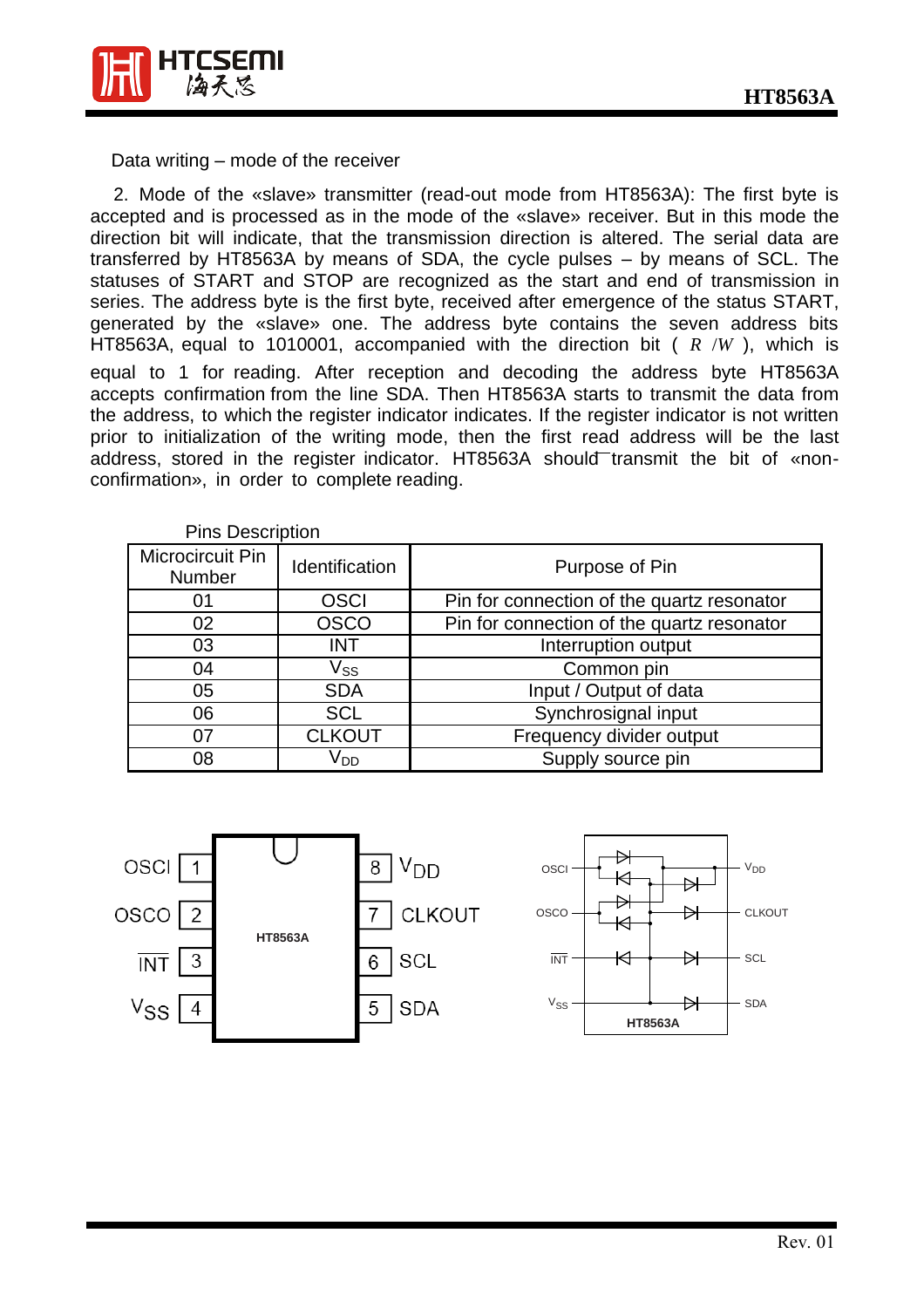

Data writing – mode of the receiver

2. Mode of the «slave» transmitter (read-out mode from HT8563A): The first byte is accepted and is processed as in the mode of the «slave» receiver. But in this mode the direction bit will indicate, that the transmission direction is altered. The serial data are transferred by HT8563A by means of SDA, the cycle pulses – by means of SCL. The statuses of START and STOP are recognized as the start and end of transmission in series. The address byte is the first byte, received after emergence of the status START, generated by the «slave» one. The address byte contains the seven address bits HT8563A, equal to 1010001, accompanied with the direction bit ( *R* /*W* ), which is equal to 1 for reading. After reception and decoding the address byte HT8563A accepts confirmation from the line SDA. Then HT8563A starts to transmit the data from the address, to which the register indicator indicates. If the register indicator is not written prior to initialization of the writing mode, then the first read address will be the last address, stored in the register indicator. HT8563A should transmit the bit of «nonconfirmation», in order to complete reading.

| <b>Pins Description</b>    |                       |                                            |
|----------------------------|-----------------------|--------------------------------------------|
| Microcircuit Pin<br>Number | <b>Identification</b> | Purpose of Pin                             |
| 01                         | <b>OSCI</b>           | Pin for connection of the quartz resonator |
| 02                         | <b>OSCO</b>           | Pin for connection of the quartz resonator |
| 03                         | <b>INT</b>            | Interruption output                        |
| 04                         | Vss                   | Common pin                                 |
| 05                         | <b>SDA</b>            | Input / Output of data                     |
| 06                         | <b>SCL</b>            | Synchrosignal input                        |
| 07                         | <b>CLKOUT</b>         | Frequency divider output                   |
| 08                         | V <sub>DD</sub>       | Supply source pin                          |

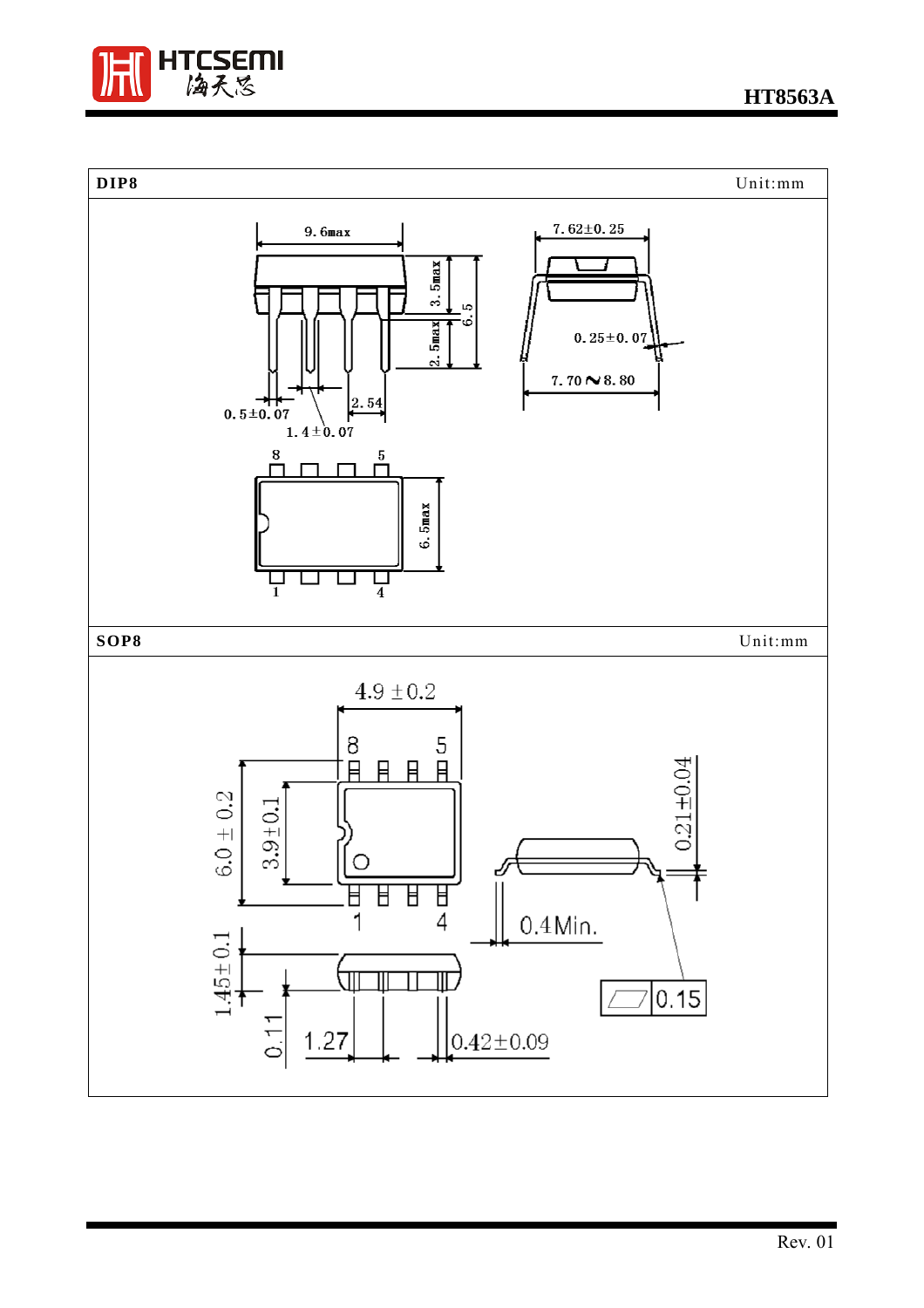

**HT8563A**